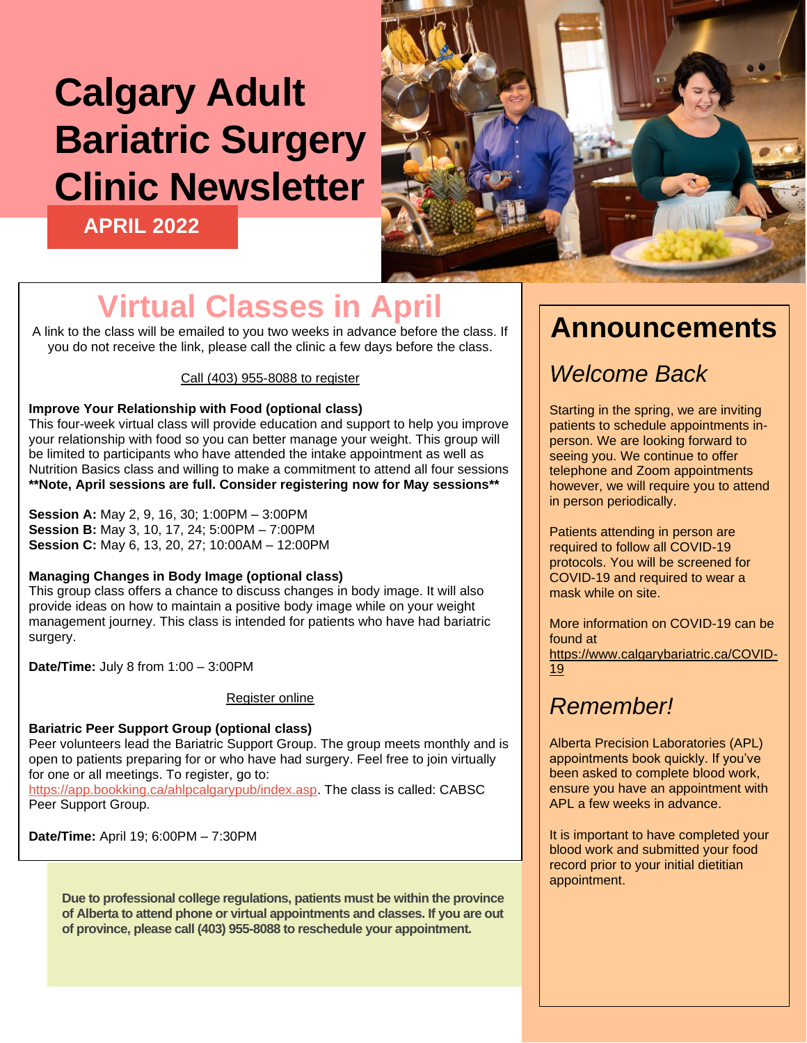# **Calgary Adult Bariatric Surgery Clinic Newsletter**

**APRIL 2022**



## **Virtual Classes in Apri**

A link to the class will be emailed to you two weeks in advance before the class. If you do not receive the link, please call the clinic a few days before the class.

#### Call (403) 955-8088 to register

#### **Improve Your Relationship with Food (optional class)**

This four-week virtual class will provide education and support to help you improve your relationship with food so you can better manage your weight. This group will be limited to participants who have attended the intake appointment as well as Nutrition Basics class and willing to make a commitment to attend all four sessions **\*\*Note, April sessions are full. Consider registering now for May sessions\*\***

**Session A:** May 2, 9, 16, 30; 1:00PM – 3:00PM **Session B:** May 3, 10, 17, 24; 5:00PM – 7:00PM **Session C:** May 6, 13, 20, 27; 10:00AM – 12:00PM

#### **Managing Changes in Body Image (optional class)**

This group class offers a chance to discuss changes in body image. It will also provide ideas on how to maintain a positive body image while on your weight management journey. This class is intended for patients who have had bariatric surgery.

**Date/Time:** July 8 from 1:00 – 3:00PM

#### Register online

**Bariatric Peer Support Group (optional class)** Peer volunteers lead the Bariatric Support Group. The group meets monthly and is open to patients preparing for or who have had surgery. Feel free to join virtually for one or all meetings. To register, go to:

[https://app.bookking.ca/ahlpcalgarypub/index.asp.](https://app.bookking.ca/ahlpcalgarypub/index.asp) The class is called: CABSC Peer Support Group.

**Date/Time:** April 19; 6:00PM – 7:30PM

**Due to professional college regulations, patients must be within the province of Alberta to attend phone or virtual appointments and classes. If you are out of province, please call (403) 955-8088 to reschedule your appointment.**

## **Announcements**

## *Welcome Back*

Starting in the spring, we are inviting patients to schedule appointments inperson. We are looking forward to seeing you. We continue to offer telephone and Zoom appointments however, we will require you to attend in person periodically.

Patients attending in person are required to follow all COVID-19 protocols. You will be screened for COVID-19 and required to wear a mask while on site.

More information on COVID-19 can be found at [https://www.calgarybariatric.ca/COVID-](https://www.calgarybariatric.ca/COVID-19)[19](https://www.calgarybariatric.ca/COVID-19)

### *Remember!*

Alberta Precision Laboratories (APL) appointments book quickly. If you've been asked to complete blood work, ensure you have an appointment with APL a few weeks in advance.

It is important to have completed your blood work and submitted your food record prior to your initial dietitian appointment.